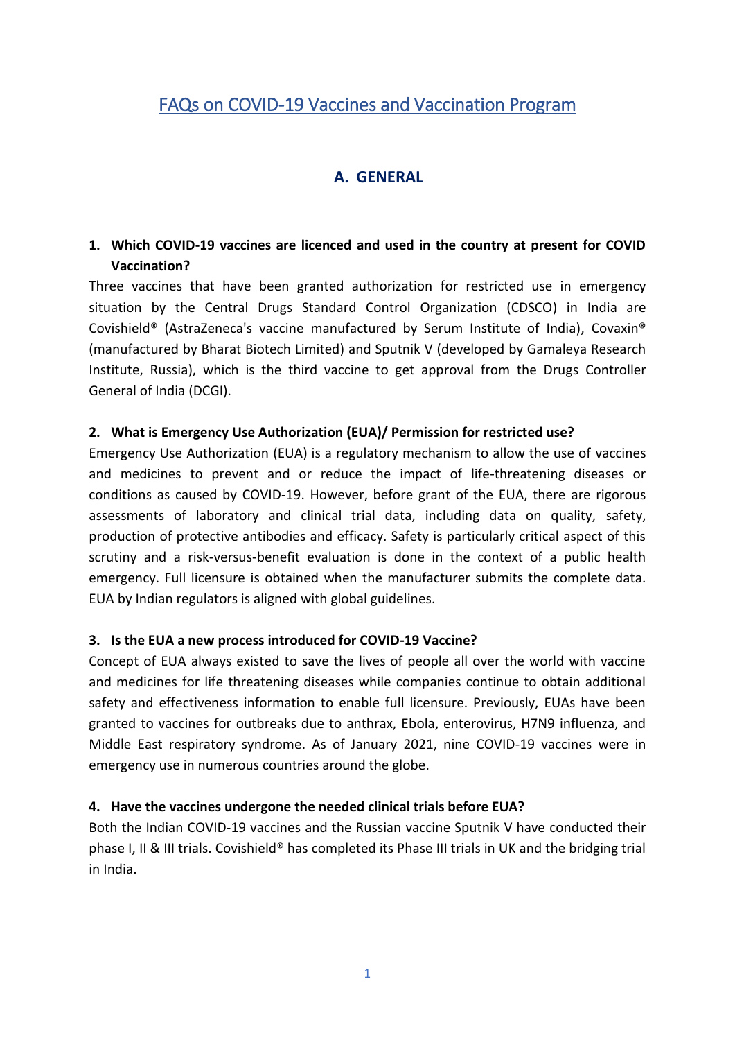# FAQs on COVID-19 Vaccines and Vaccination Program

## **A. GENERAL**

### **1. Which COVID-19 vaccines are licenced and used in the country at present for COVID Vaccination?**

Three vaccines that have been granted authorization for restricted use in emergency situation by the Central Drugs Standard Control Organization (CDSCO) in India are Covishield® (AstraZeneca's vaccine manufactured by Serum Institute of India), Covaxin® (manufactured by Bharat Biotech Limited) and Sputnik V (developed by Gamaleya Research Institute, Russia), which is the third vaccine to get approval from the Drugs Controller General of India (DCGI).

#### **2. What is Emergency Use Authorization (EUA)/ Permission for restricted use?**

Emergency Use Authorization (EUA) is a regulatory mechanism to allow the use of vaccines and medicines to prevent and or reduce the impact of life-threatening diseases or conditions as caused by COVID-19. However, before grant of the EUA, there are rigorous assessments of laboratory and clinical trial data, including data on quality, safety, production of protective antibodies and efficacy. Safety is particularly critical aspect of this scrutiny and a risk-versus-benefit evaluation is done in the context of a public health emergency. Full licensure is obtained when the manufacturer submits the complete data. EUA by Indian regulators is aligned with global guidelines.

#### **3. Is the EUA a new process introduced for COVID-19 Vaccine?**

Concept of EUA always existed to save the lives of people all over the world with vaccine and medicines for life threatening diseases while companies continue to obtain additional safety and effectiveness information to enable full licensure. Previously, EUAs have been granted to vaccines for outbreaks due to anthrax, Ebola, enterovirus, H7N9 influenza, and Middle East respiratory syndrome. As of January 2021, nine COVID-19 vaccines were in emergency use in numerous countries around the globe.

### **4. Have the vaccines undergone the needed clinical trials before EUA?**

Both the Indian COVID-19 vaccines and the Russian vaccine Sputnik V have conducted their phase I, II & III trials. Covishield® has completed its Phase III trials in UK and the bridging trial in India.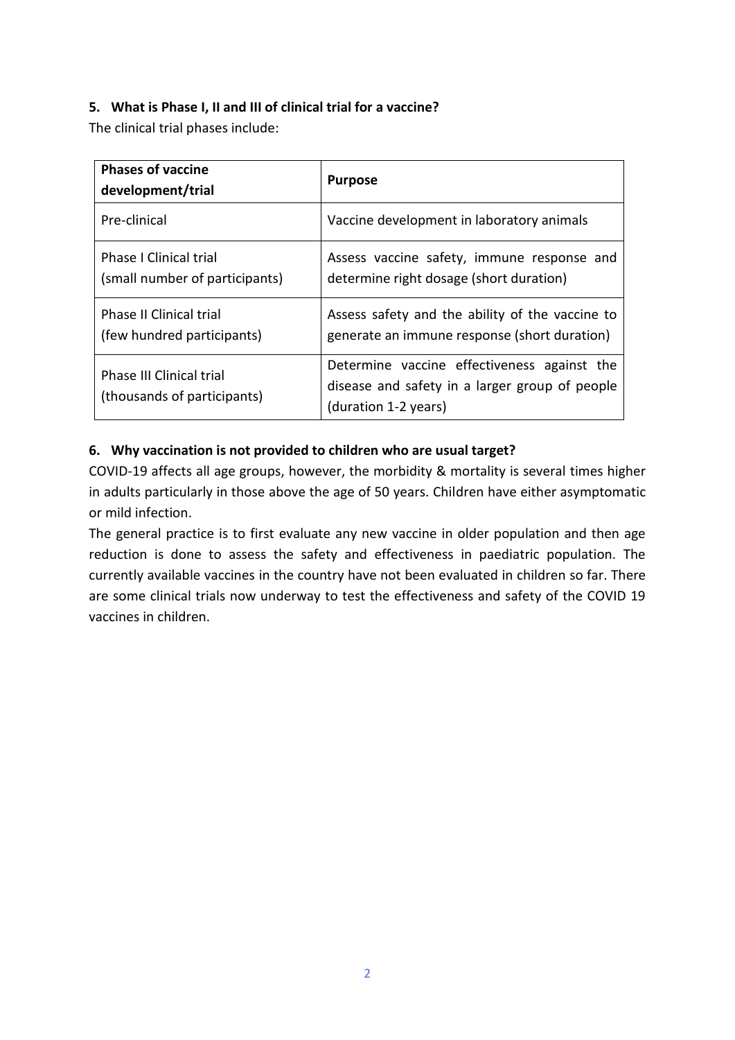### **5. What is Phase I, II and III of clinical trial for a vaccine?**

The clinical trial phases include:

| <b>Phases of vaccine</b><br>development/trial                   | <b>Purpose</b>                                                                                                        |
|-----------------------------------------------------------------|-----------------------------------------------------------------------------------------------------------------------|
| Pre-clinical                                                    | Vaccine development in laboratory animals                                                                             |
| <b>Phase I Clinical trial</b><br>(small number of participants) | Assess vaccine safety, immune response and<br>determine right dosage (short duration)                                 |
| <b>Phase II Clinical trial</b><br>(few hundred participants)    | Assess safety and the ability of the vaccine to<br>generate an immune response (short duration)                       |
| <b>Phase III Clinical trial</b><br>(thousands of participants)  | Determine vaccine effectiveness against the<br>disease and safety in a larger group of people<br>(duration 1-2 years) |

### **6. Why vaccination is not provided to children who are usual target?**

COVID-19 affects all age groups, however, the morbidity & mortality is several times higher in adults particularly in those above the age of 50 years. Children have either asymptomatic or mild infection.

The general practice is to first evaluate any new vaccine in older population and then age reduction is done to assess the safety and effectiveness in paediatric population. The currently available vaccines in the country have not been evaluated in children so far. There are some clinical trials now underway to test the effectiveness and safety of the COVID 19 vaccines in children.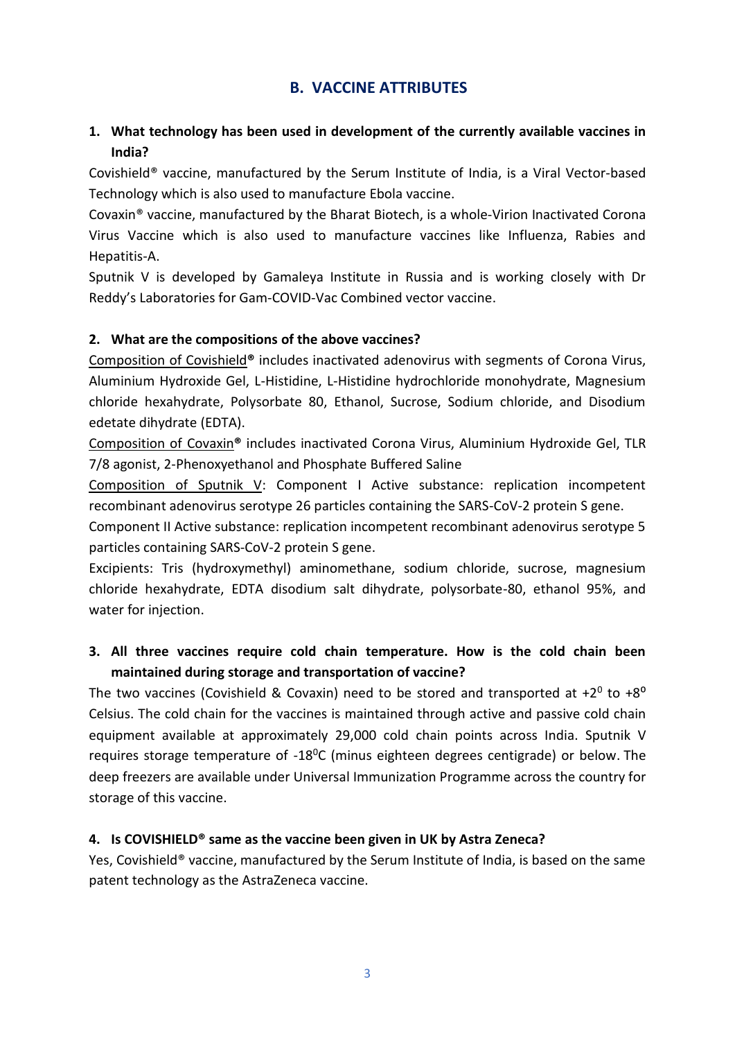### **B. VACCINE ATTRIBUTES**

### **1. What technology has been used in development of the currently available vaccines in India?**

Covishield® vaccine, manufactured by the Serum Institute of India, is a Viral Vector-based Technology which is also used to manufacture Ebola vaccine.

Covaxin® vaccine, manufactured by the Bharat Biotech, is a whole-Virion Inactivated Corona Virus Vaccine which is also used to manufacture vaccines like Influenza, Rabies and Hepatitis-A.

Sputnik V is developed by Gamaleya Institute in Russia and is working closely with Dr Reddy's Laboratories for Gam-COVID-Vac Combined vector vaccine.

#### **2. What are the compositions of the above vaccines?**

Composition of Covishield**®** includes inactivated adenovirus with segments of Corona Virus, Aluminium Hydroxide Gel, L-Histidine, L-Histidine hydrochloride monohydrate, Magnesium chloride hexahydrate, Polysorbate 80, Ethanol, Sucrose, Sodium chloride, and Disodium edetate dihydrate (EDTA).

Composition of Covaxin**®** includes inactivated Corona Virus, Aluminium Hydroxide Gel, TLR 7/8 agonist, 2-Phenoxyethanol and Phosphate Buffered Saline

Composition of Sputnik V: Component I Active substance: replication incompetent recombinant adenovirus serotype 26 particles containing the SARS-CoV-2 protein S gene.

Component II Active substance: replication incompetent recombinant adenovirus serotype 5 particles containing SARS-CoV-2 protein S gene.

Excipients: Tris (hydroxymethyl) aminomethane, sodium chloride, sucrose, magnesium chloride hexahydrate, EDTA disodium salt dihydrate, polysorbate-80, ethanol 95%, and water for injection.

### **3. All three vaccines require cold chain temperature. How is the cold chain been maintained during storage and transportation of vaccine?**

The two vaccines (Covishield & Covaxin) need to be stored and transported at  $+2^0$  to  $+8^0$ Celsius. The cold chain for the vaccines is maintained through active and passive cold chain equipment available at approximately 29,000 cold chain points across India. Sputnik V requires storage temperature of  $-18^{\circ}C$  (minus eighteen degrees centigrade) or below. The deep freezers are available under Universal Immunization Programme across the country for storage of this vaccine.

#### **4. Is COVISHIELD® same as the vaccine been given in UK by Astra Zeneca?**

Yes, Covishield® vaccine, manufactured by the Serum Institute of India, is based on the same patent technology as the AstraZeneca vaccine.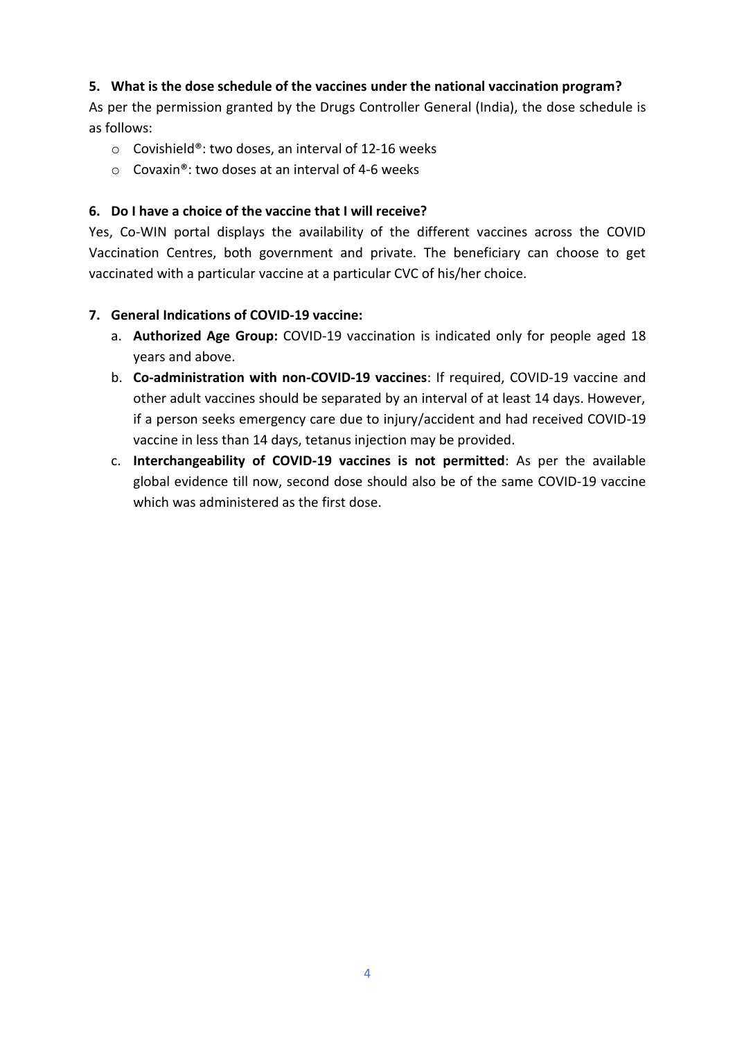#### **5. What is the dose schedule of the vaccines under the national vaccination program?**

As per the permission granted by the Drugs Controller General (India), the dose schedule is as follows:

- o Covishield®: two doses, an interval of 12-16 weeks
- $\circ$  Covaxin®: two doses at an interval of 4-6 weeks

#### **6. Do I have a choice of the vaccine that I will receive?**

Yes, Co-WIN portal displays the availability of the different vaccines across the COVID Vaccination Centres, both government and private. The beneficiary can choose to get vaccinated with a particular vaccine at a particular CVC of his/her choice.

### **7. General Indications of COVID-19 vaccine:**

- a. **Authorized Age Group:** COVID-19 vaccination is indicated only for people aged 18 years and above.
- b. **Co-administration with non-COVID-19 vaccines**: If required, COVID-19 vaccine and other adult vaccines should be separated by an interval of at least 14 days. However, if a person seeks emergency care due to injury/accident and had received COVID-19 vaccine in less than 14 days, tetanus injection may be provided.
- c. **Interchangeability of COVID-19 vaccines is not permitted**: As per the available global evidence till now, second dose should also be of the same COVID-19 vaccine which was administered as the first dose.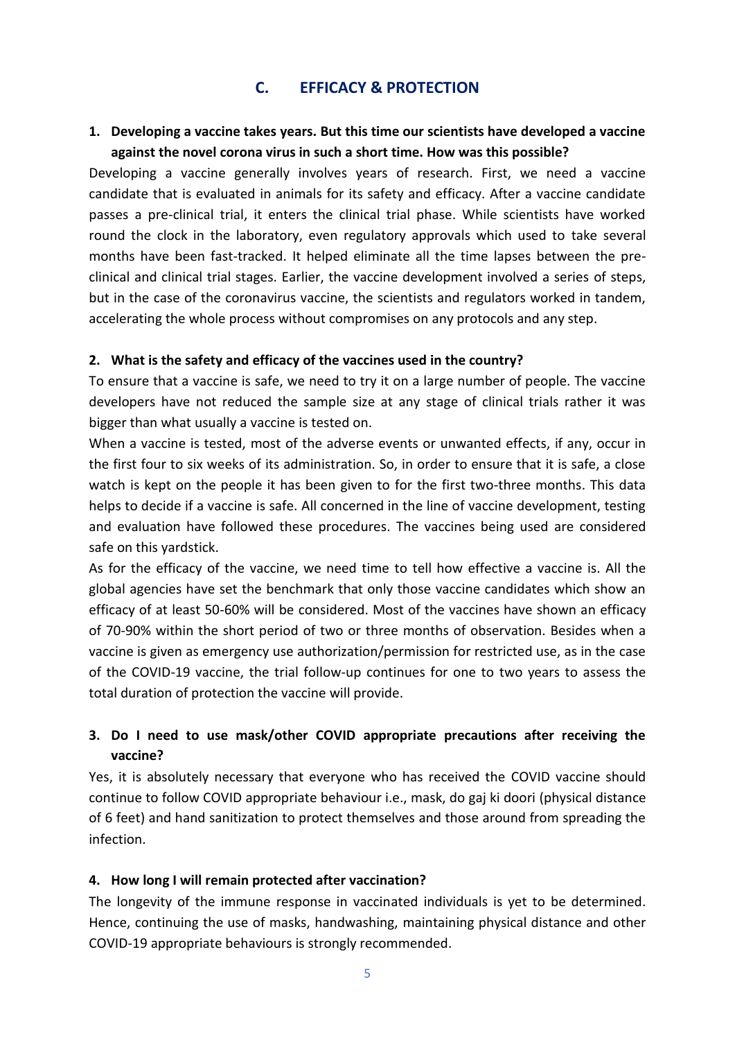### **C. EFFICACY & PROTECTION**

#### **1. Developing a vaccine takes years. But this time our scientists have developed a vaccine against the novel corona virus in such a short time. How was this possible?**

Developing a vaccine generally involves years of research. First, we need a vaccine candidate that is evaluated in animals for its safety and efficacy. After a vaccine candidate passes a pre-clinical trial, it enters the clinical trial phase. While scientists have worked round the clock in the laboratory, even regulatory approvals which used to take several months have been fast-tracked. It helped eliminate all the time lapses between the preclinical and clinical trial stages. Earlier, the vaccine development involved a series of steps, but in the case of the coronavirus vaccine, the scientists and regulators worked in tandem, accelerating the whole process without compromises on any protocols and any step.

#### **2. What is the safety and efficacy of the vaccines used in the country?**

To ensure that a vaccine is safe, we need to try it on a large number of people. The vaccine developers have not reduced the sample size at any stage of clinical trials rather it was bigger than what usually a vaccine is tested on.

When a vaccine is tested, most of the adverse events or unwanted effects, if any, occur in the first four to six weeks of its administration. So, in order to ensure that it is safe, a close watch is kept on the people it has been given to for the first two-three months. This data helps to decide if a vaccine is safe. All concerned in the line of vaccine development, testing and evaluation have followed these procedures. The vaccines being used are considered safe on this yardstick.

As for the efficacy of the vaccine, we need time to tell how effective a vaccine is. All the global agencies have set the benchmark that only those vaccine candidates which show an efficacy of at least 50-60% will be considered. Most of the vaccines have shown an efficacy of 70-90% within the short period of two or three months of observation. Besides when a vaccine is given as emergency use authorization/permission for restricted use, as in the case of the COVID-19 vaccine, the trial follow-up continues for one to two years to assess the total duration of protection the vaccine will provide.

### **3. Do I need to use mask/other COVID appropriate precautions after receiving the vaccine?**

Yes, it is absolutely necessary that everyone who has received the COVID vaccine should continue to follow COVID appropriate behaviour i.e., mask, do gaj ki doori (physical distance of 6 feet) and hand sanitization to protect themselves and those around from spreading the infection.

#### **4. How long I will remain protected after vaccination?**

The longevity of the immune response in vaccinated individuals is yet to be determined. Hence, continuing the use of masks, handwashing, maintaining physical distance and other COVID-19 appropriate behaviours is strongly recommended.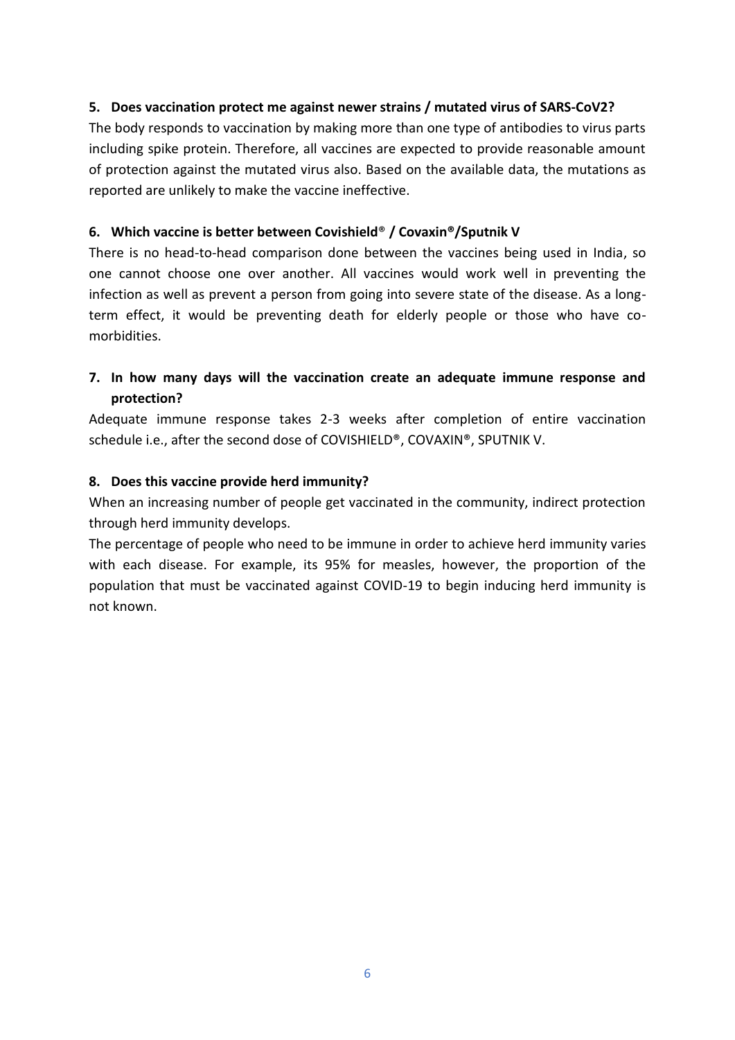#### **5. Does vaccination protect me against newer strains / mutated virus of SARS-CoV2?**

The body responds to vaccination by making more than one type of antibodies to virus parts including spike protein. Therefore, all vaccines are expected to provide reasonable amount of protection against the mutated virus also. Based on the available data, the mutations as reported are unlikely to make the vaccine ineffective.

#### **6. Which vaccine is better between Covishield**® **/ Covaxin®/Sputnik V**

There is no head-to-head comparison done between the vaccines being used in India, so one cannot choose one over another. All vaccines would work well in preventing the infection as well as prevent a person from going into severe state of the disease. As a longterm effect, it would be preventing death for elderly people or those who have comorbidities.

### **7. In how many days will the vaccination create an adequate immune response and protection?**

Adequate immune response takes 2-3 weeks after completion of entire vaccination schedule i.e., after the second dose of COVISHIELD®, COVAXIN®, SPUTNIK V.

#### **8. Does this vaccine provide herd immunity?**

When an increasing number of people get vaccinated in the community, indirect protection through herd immunity develops.

The percentage of people who need to be immune in order to achieve herd immunity varies with each disease. For example, its 95% for measles, however, the proportion of the population that must be vaccinated against COVID-19 to begin inducing herd immunity is not known.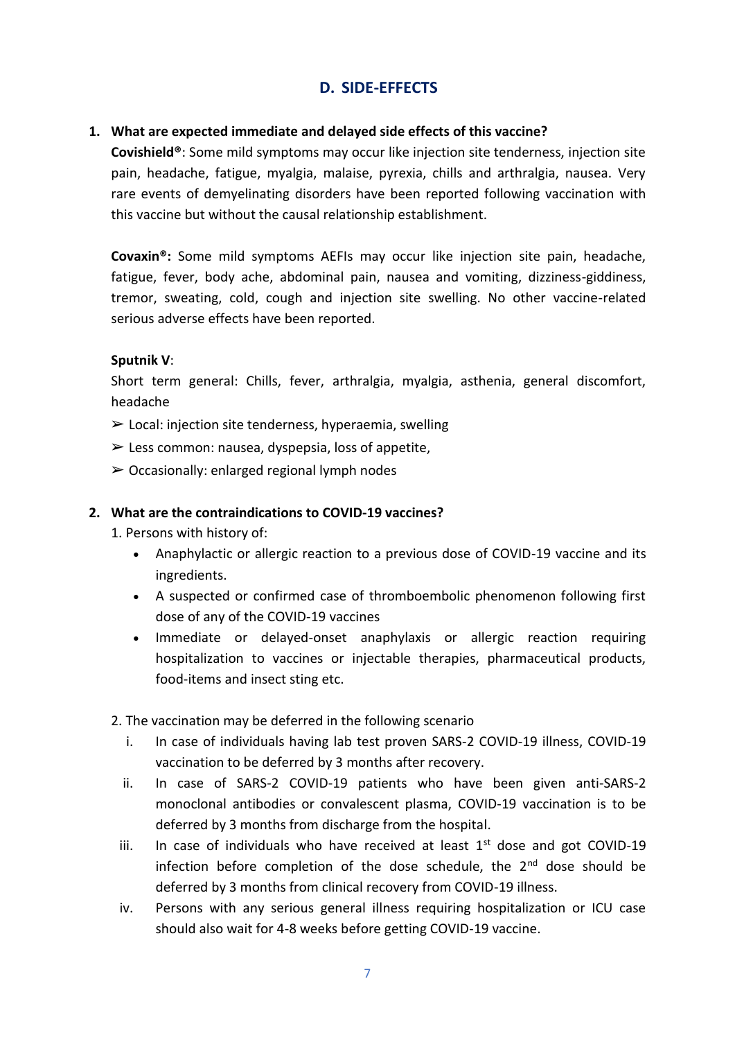## **D. SIDE-EFFECTS**

#### **1. What are expected immediate and delayed side effects of this vaccine?**

**Covishield®**: Some mild symptoms may occur like injection site tenderness, injection site pain, headache, fatigue, myalgia, malaise, pyrexia, chills and arthralgia, nausea. Very rare events of demyelinating disorders have been reported following vaccination with this vaccine but without the causal relationship establishment.

**Covaxin®:** Some mild symptoms AEFIs may occur like injection site pain, headache, fatigue, fever, body ache, abdominal pain, nausea and vomiting, dizziness-giddiness, tremor, sweating, cold, cough and injection site swelling. No other vaccine-related serious adverse effects have been reported.

#### **Sputnik V**:

Short term general: Chills, fever, arthralgia, myalgia, asthenia, general discomfort, headache

- $\triangleright$  Local: injection site tenderness, hyperaemia, swelling
- $\triangleright$  Less common: nausea, dyspepsia, loss of appetite,
- $\geq$  Occasionally: enlarged regional lymph nodes

#### **2. What are the contraindications to COVID-19 vaccines?**

- 1. Persons with history of:
	- Anaphylactic or allergic reaction to a previous dose of COVID-19 vaccine and its ingredients.
	- A suspected or confirmed case of thromboembolic phenomenon following first dose of any of the COVID-19 vaccines
	- Immediate or delayed-onset anaphylaxis or allergic reaction requiring hospitalization to vaccines or injectable therapies, pharmaceutical products, food-items and insect sting etc.
- 2. The vaccination may be deferred in the following scenario
	- i. In case of individuals having lab test proven SARS-2 COVID-19 illness, COVID-19 vaccination to be deferred by 3 months after recovery.
	- ii. In case of SARS-2 COVID-19 patients who have been given anti-SARS-2 monoclonal antibodies or convalescent plasma, COVID-19 vaccination is to be deferred by 3 months from discharge from the hospital.
	- iii. In case of individuals who have received at least  $1<sup>st</sup>$  dose and got COVID-19 infection before completion of the dose schedule, the  $2<sup>nd</sup>$  dose should be deferred by 3 months from clinical recovery from COVID-19 illness.
	- iv. Persons with any serious general illness requiring hospitalization or ICU case should also wait for 4-8 weeks before getting COVID-19 vaccine.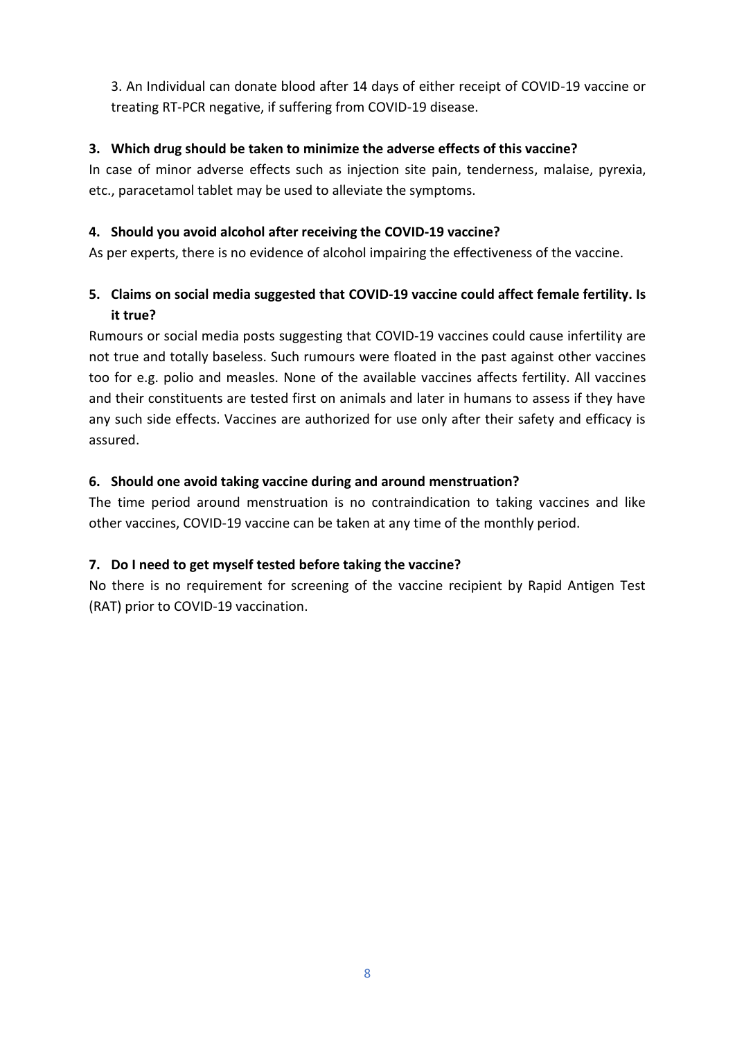3. An Individual can donate blood after 14 days of either receipt of COVID-19 vaccine or treating RT-PCR negative, if suffering from COVID-19 disease.

### **3. Which drug should be taken to minimize the adverse effects of this vaccine?**

In case of minor adverse effects such as injection site pain, tenderness, malaise, pyrexia, etc., paracetamol tablet may be used to alleviate the symptoms.

#### **4. Should you avoid alcohol after receiving the COVID-19 vaccine?**

As per experts, there is no evidence of alcohol impairing the effectiveness of the vaccine.

### **5. Claims on social media suggested that COVID-19 vaccine could affect female fertility. Is it true?**

Rumours or social media posts suggesting that COVID-19 vaccines could cause infertility are not true and totally baseless. Such rumours were floated in the past against other vaccines too for e.g. polio and measles. None of the available vaccines affects fertility. All vaccines and their constituents are tested first on animals and later in humans to assess if they have any such side effects. Vaccines are authorized for use only after their safety and efficacy is assured.

### **6. Should one avoid taking vaccine during and around menstruation?**

The time period around menstruation is no contraindication to taking vaccines and like other vaccines, COVID-19 vaccine can be taken at any time of the monthly period.

### **7. Do I need to get myself tested before taking the vaccine?**

No there is no requirement for screening of the vaccine recipient by Rapid Antigen Test (RAT) prior to COVID-19 vaccination.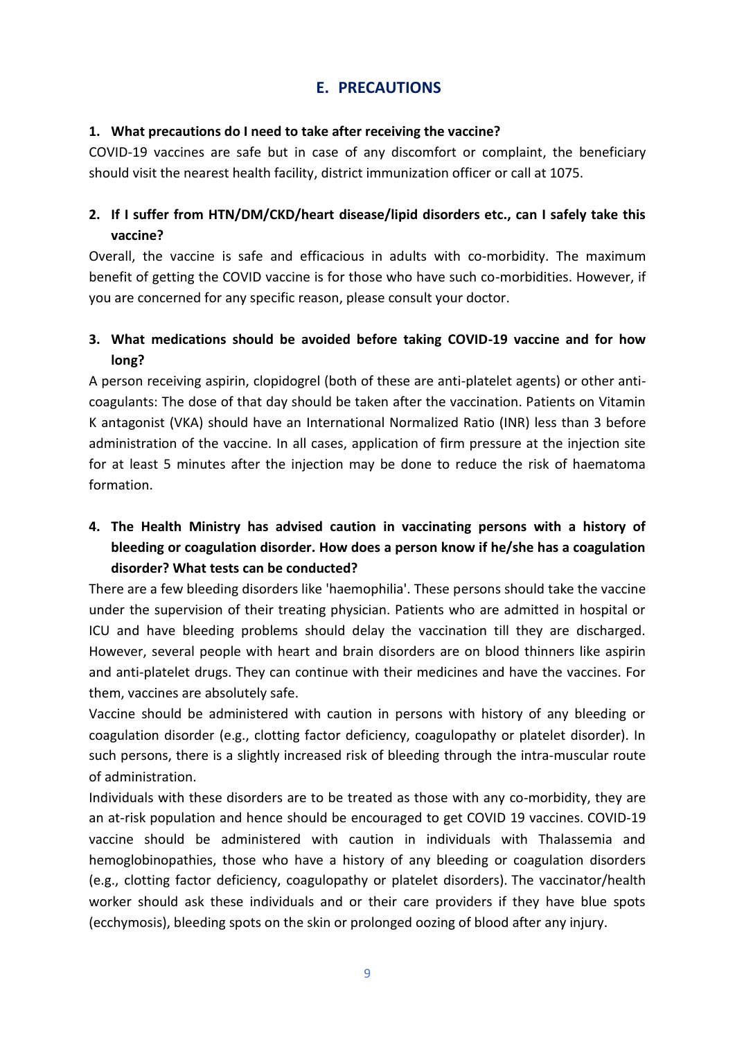### **E. PRECAUTIONS**

#### **1. What precautions do I need to take after receiving the vaccine?**

COVID-19 vaccines are safe but in case of any discomfort or complaint, the beneficiary should visit the nearest health facility, district immunization officer or call at 1075.

### **2. If I suffer from HTN/DM/CKD/heart disease/lipid disorders etc., can I safely take this vaccine?**

Overall, the vaccine is safe and efficacious in adults with co-morbidity. The maximum benefit of getting the COVID vaccine is for those who have such co-morbidities. However, if you are concerned for any specific reason, please consult your doctor.

### **3. What medications should be avoided before taking COVID-19 vaccine and for how long?**

A person receiving aspirin, clopidogrel (both of these are anti-platelet agents) or other anticoagulants: The dose of that day should be taken after the vaccination. Patients on Vitamin K antagonist (VKA) should have an International Normalized Ratio (INR) less than 3 before administration of the vaccine. In all cases, application of firm pressure at the injection site for at least 5 minutes after the injection may be done to reduce the risk of haematoma formation.

### **4. The Health Ministry has advised caution in vaccinating persons with a history of bleeding or coagulation disorder. How does a person know if he/she has a coagulation disorder? What tests can be conducted?**

There are a few bleeding disorders like 'haemophilia'. These persons should take the vaccine under the supervision of their treating physician. Patients who are admitted in hospital or ICU and have bleeding problems should delay the vaccination till they are discharged. However, several people with heart and brain disorders are on blood thinners like aspirin and anti-platelet drugs. They can continue with their medicines and have the vaccines. For them, vaccines are absolutely safe.

Vaccine should be administered with caution in persons with history of any bleeding or coagulation disorder (e.g., clotting factor deficiency, coagulopathy or platelet disorder). In such persons, there is a slightly increased risk of bleeding through the intra-muscular route of administration.

Individuals with these disorders are to be treated as those with any co-morbidity, they are an at-risk population and hence should be encouraged to get COVID 19 vaccines. COVID-19 vaccine should be administered with caution in individuals with Thalassemia and hemoglobinopathies, those who have a history of any bleeding or coagulation disorders (e.g., clotting factor deficiency, coagulopathy or platelet disorders). The vaccinator/health worker should ask these individuals and or their care providers if they have blue spots (ecchymosis), bleeding spots on the skin or prolonged oozing of blood after any injury.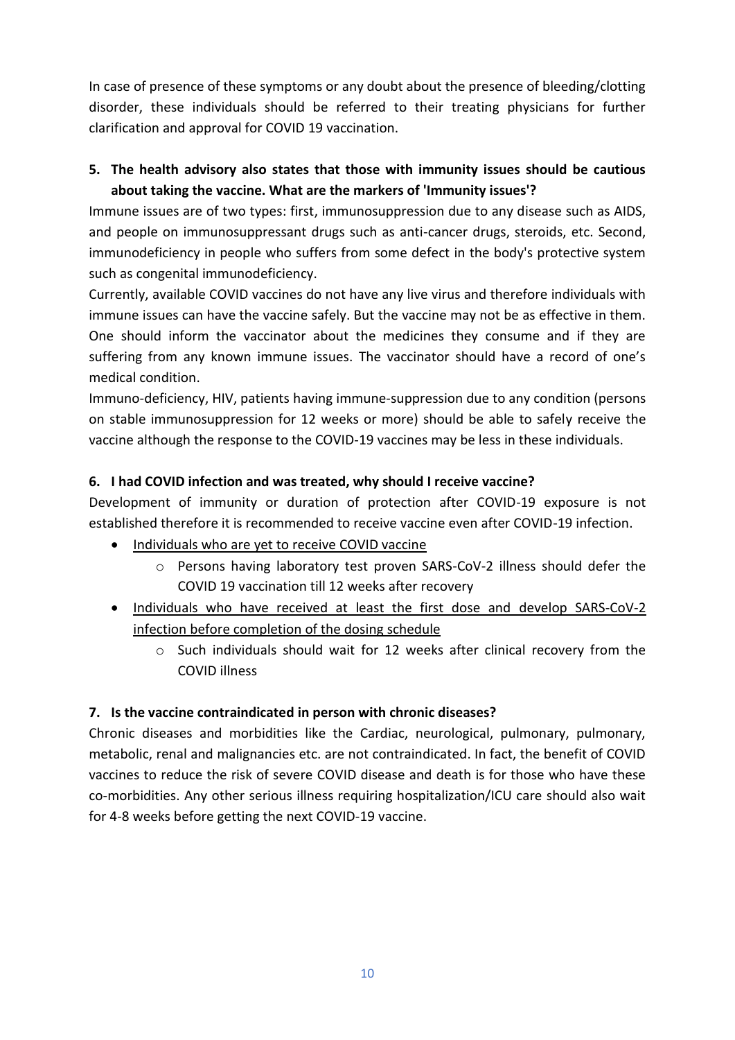In case of presence of these symptoms or any doubt about the presence of bleeding/clotting disorder, these individuals should be referred to their treating physicians for further clarification and approval for COVID 19 vaccination.

### **5. The health advisory also states that those with immunity issues should be cautious about taking the vaccine. What are the markers of 'Immunity issues'?**

Immune issues are of two types: first, immunosuppression due to any disease such as AIDS, and people on immunosuppressant drugs such as anti-cancer drugs, steroids, etc. Second, immunodeficiency in people who suffers from some defect in the body's protective system such as congenital immunodeficiency.

Currently, available COVID vaccines do not have any live virus and therefore individuals with immune issues can have the vaccine safely. But the vaccine may not be as effective in them. One should inform the vaccinator about the medicines they consume and if they are suffering from any known immune issues. The vaccinator should have a record of one's medical condition.

Immuno-deficiency, HIV, patients having immune-suppression due to any condition (persons on stable immunosuppression for 12 weeks or more) should be able to safely receive the vaccine although the response to the COVID-19 vaccines may be less in these individuals.

### **6. I had COVID infection and was treated, why should I receive vaccine?**

Development of immunity or duration of protection after COVID-19 exposure is not established therefore it is recommended to receive vaccine even after COVID-19 infection.

- Individuals who are yet to receive COVID vaccine
	- o Persons having laboratory test proven SARS-CoV-2 illness should defer the COVID 19 vaccination till 12 weeks after recovery
- Individuals who have received at least the first dose and develop SARS-CoV-2 infection before completion of the dosing schedule
	- o Such individuals should wait for 12 weeks after clinical recovery from the COVID illness

### **7. Is the vaccine contraindicated in person with chronic diseases?**

Chronic diseases and morbidities like the Cardiac, neurological, pulmonary, pulmonary, metabolic, renal and malignancies etc. are not contraindicated. In fact, the benefit of COVID vaccines to reduce the risk of severe COVID disease and death is for those who have these co-morbidities. Any other serious illness requiring hospitalization/ICU care should also wait for 4-8 weeks before getting the next COVID-19 vaccine.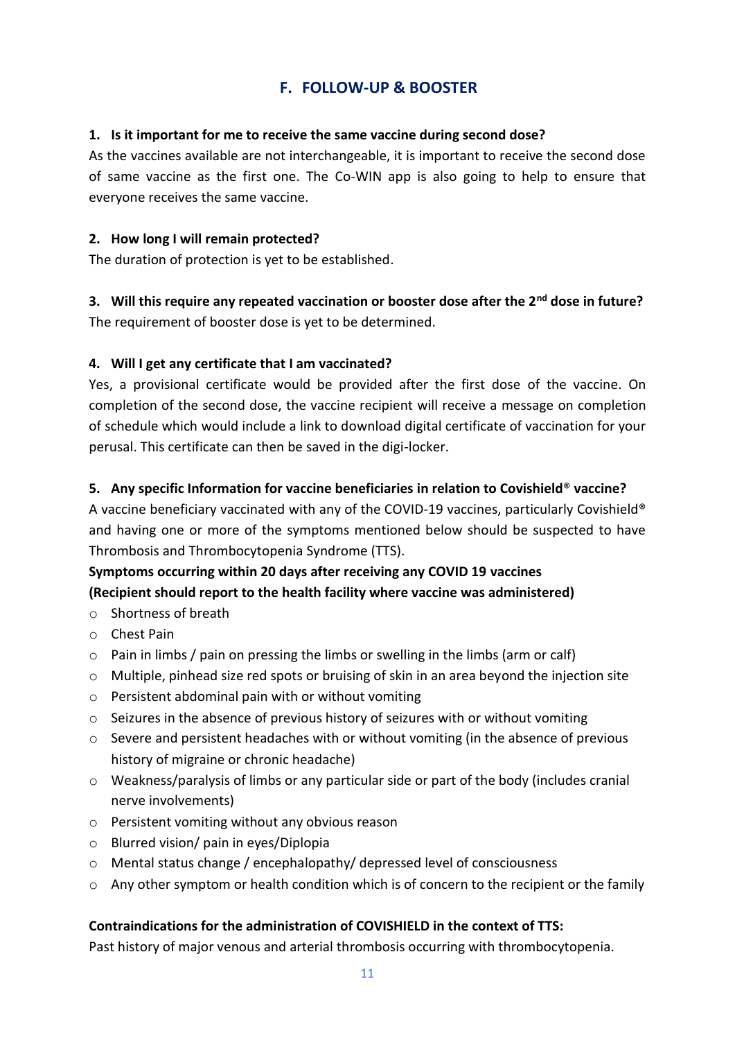# **F. FOLLOW-UP & BOOSTER**

#### **1. Is it important for me to receive the same vaccine during second dose?**

As the vaccines available are not interchangeable, it is important to receive the second dose of same vaccine as the first one. The Co-WIN app is also going to help to ensure that everyone receives the same vaccine.

#### **2. How long I will remain protected?**

The duration of protection is yet to be established.

**3. Will this require any repeated vaccination or booster dose after the 2nd dose in future?**  The requirement of booster dose is yet to be determined.

#### **4. Will I get any certificate that I am vaccinated?**

Yes, a provisional certificate would be provided after the first dose of the vaccine. On completion of the second dose, the vaccine recipient will receive a message on completion of schedule which would include a link to download digital certificate of vaccination for your perusal. This certificate can then be saved in the digi-locker.

#### **5. Any specific Information for vaccine beneficiaries in relation to Covishield**® **vaccine?**

A vaccine beneficiary vaccinated with any of the COVID-19 vaccines, particularly Covishield® and having one or more of the symptoms mentioned below should be suspected to have Thrombosis and Thrombocytopenia Syndrome (TTS).

### **Symptoms occurring within 20 days after receiving any COVID 19 vaccines (Recipient should report to the health facility where vaccine was administered)**

- o Shortness of breath
- o Chest Pain
- $\circ$  Pain in limbs / pain on pressing the limbs or swelling in the limbs (arm or calf)
- $\circ$  Multiple, pinhead size red spots or bruising of skin in an area beyond the injection site
- o Persistent abdominal pain with or without vomiting
- $\circ$  Seizures in the absence of previous history of seizures with or without vomiting
- $\circ$  Severe and persistent headaches with or without vomiting (in the absence of previous history of migraine or chronic headache)
- o Weakness/paralysis of limbs or any particular side or part of the body (includes cranial nerve involvements)
- o Persistent vomiting without any obvious reason
- o Blurred vision/ pain in eyes/Diplopia
- o Mental status change / encephalopathy/ depressed level of consciousness
- o Any other symptom or health condition which is of concern to the recipient or the family

#### **Contraindications for the administration of COVISHIELD in the context of TTS:**

Past history of major venous and arterial thrombosis occurring with thrombocytopenia.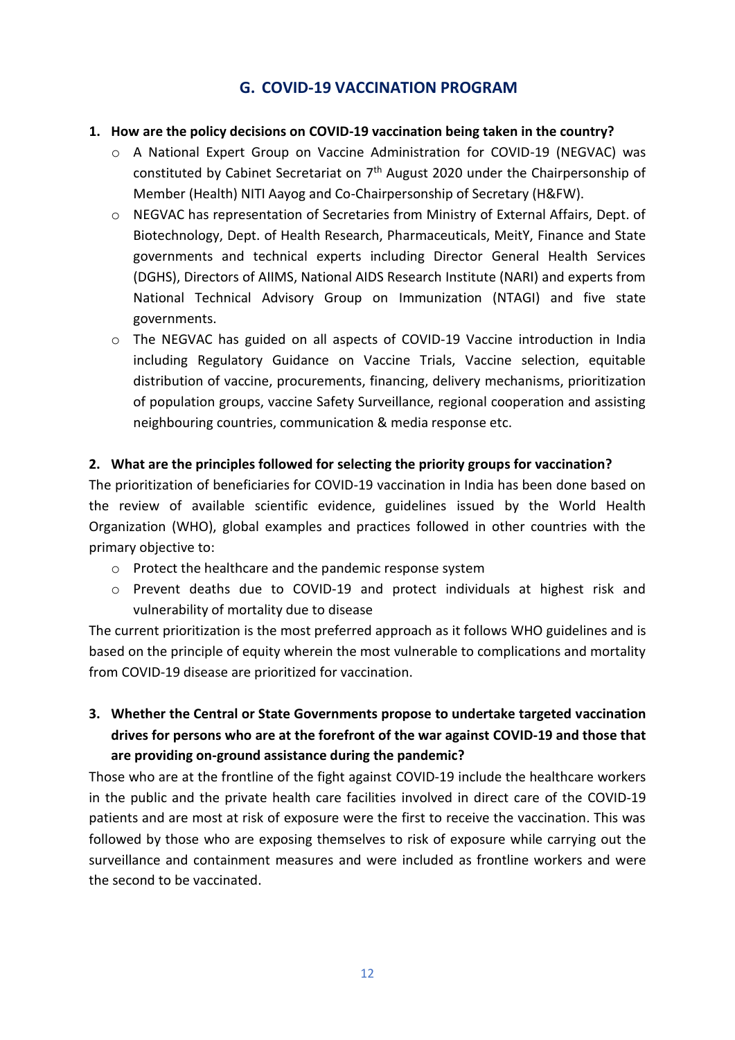### **G. COVID-19 VACCINATION PROGRAM**

#### **1. How are the policy decisions on COVID-19 vaccination being taken in the country?**

- o A National Expert Group on Vaccine Administration for COVID-19 (NEGVAC) was constituted by Cabinet Secretariat on 7th August 2020 under the Chairpersonship of Member (Health) NITI Aayog and Co-Chairpersonship of Secretary (H&FW).
- o NEGVAC has representation of Secretaries from Ministry of External Affairs, Dept. of Biotechnology, Dept. of Health Research, Pharmaceuticals, MeitY, Finance and State governments and technical experts including Director General Health Services (DGHS), Directors of AIIMS, National AIDS Research Institute (NARI) and experts from National Technical Advisory Group on Immunization (NTAGI) and five state governments.
- o The NEGVAC has guided on all aspects of COVID-19 Vaccine introduction in India including Regulatory Guidance on Vaccine Trials, Vaccine selection, equitable distribution of vaccine, procurements, financing, delivery mechanisms, prioritization of population groups, vaccine Safety Surveillance, regional cooperation and assisting neighbouring countries, communication & media response etc.

#### **2. What are the principles followed for selecting the priority groups for vaccination?**

The prioritization of beneficiaries for COVID-19 vaccination in India has been done based on the review of available scientific evidence, guidelines issued by the World Health Organization (WHO), global examples and practices followed in other countries with the primary objective to:

- o Protect the healthcare and the pandemic response system
- o Prevent deaths due to COVID-19 and protect individuals at highest risk and vulnerability of mortality due to disease

The current prioritization is the most preferred approach as it follows WHO guidelines and is based on the principle of equity wherein the most vulnerable to complications and mortality from COVID-19 disease are prioritized for vaccination.

**3. Whether the Central or State Governments propose to undertake targeted vaccination drives for persons who are at the forefront of the war against COVID-19 and those that are providing on-ground assistance during the pandemic?**

Those who are at the frontline of the fight against COVID-19 include the healthcare workers in the public and the private health care facilities involved in direct care of the COVID-19 patients and are most at risk of exposure were the first to receive the vaccination. This was followed by those who are exposing themselves to risk of exposure while carrying out the surveillance and containment measures and were included as frontline workers and were the second to be vaccinated.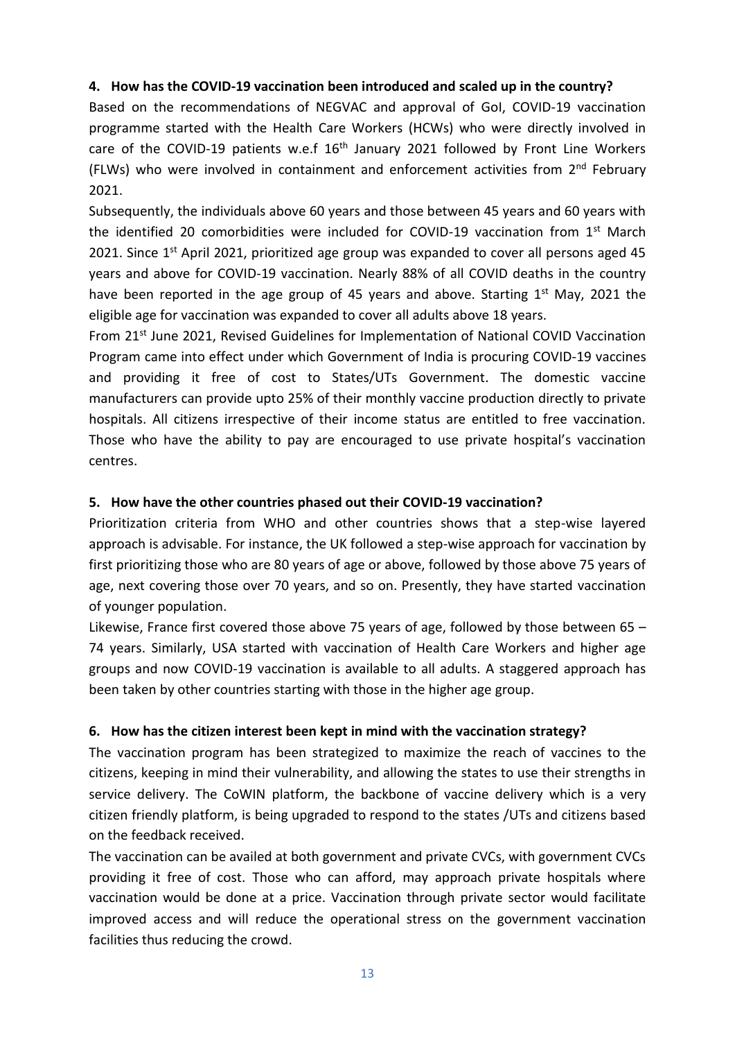#### **4. How has the COVID-19 vaccination been introduced and scaled up in the country?**

Based on the recommendations of NEGVAC and approval of GoI, COVID-19 vaccination programme started with the Health Care Workers (HCWs) who were directly involved in care of the COVID-19 patients w.e.f  $16<sup>th</sup>$  January 2021 followed by Front Line Workers (FLWs) who were involved in containment and enforcement activities from  $2^{nd}$  February 2021.

Subsequently, the individuals above 60 years and those between 45 years and 60 years with the identified 20 comorbidities were included for COVID-19 vaccination from  $1<sup>st</sup>$  March 2021. Since 1<sup>st</sup> April 2021, prioritized age group was expanded to cover all persons aged 45 years and above for COVID-19 vaccination. Nearly 88% of all COVID deaths in the country have been reported in the age group of 45 years and above. Starting 1<sup>st</sup> May, 2021 the eligible age for vaccination was expanded to cover all adults above 18 years.

From 21<sup>st</sup> June 2021, Revised Guidelines for Implementation of National COVID Vaccination Program came into effect under which Government of India is procuring COVID-19 vaccines and providing it free of cost to States/UTs Government. The domestic vaccine manufacturers can provide upto 25% of their monthly vaccine production directly to private hospitals. All citizens irrespective of their income status are entitled to free vaccination. Those who have the ability to pay are encouraged to use private hospital's vaccination centres.

#### **5. How have the other countries phased out their COVID-19 vaccination?**

Prioritization criteria from WHO and other countries shows that a step-wise layered approach is advisable. For instance, the UK followed a step-wise approach for vaccination by first prioritizing those who are 80 years of age or above, followed by those above 75 years of age, next covering those over 70 years, and so on. Presently, they have started vaccination of younger population.

Likewise, France first covered those above 75 years of age, followed by those between 65 – 74 years. Similarly, USA started with vaccination of Health Care Workers and higher age groups and now COVID-19 vaccination is available to all adults. A staggered approach has been taken by other countries starting with those in the higher age group.

#### **6. How has the citizen interest been kept in mind with the vaccination strategy?**

The vaccination program has been strategized to maximize the reach of vaccines to the citizens, keeping in mind their vulnerability, and allowing the states to use their strengths in service delivery. The CoWIN platform, the backbone of vaccine delivery which is a very citizen friendly platform, is being upgraded to respond to the states /UTs and citizens based on the feedback received.

The vaccination can be availed at both government and private CVCs, with government CVCs providing it free of cost. Those who can afford, may approach private hospitals where vaccination would be done at a price. Vaccination through private sector would facilitate improved access and will reduce the operational stress on the government vaccination facilities thus reducing the crowd.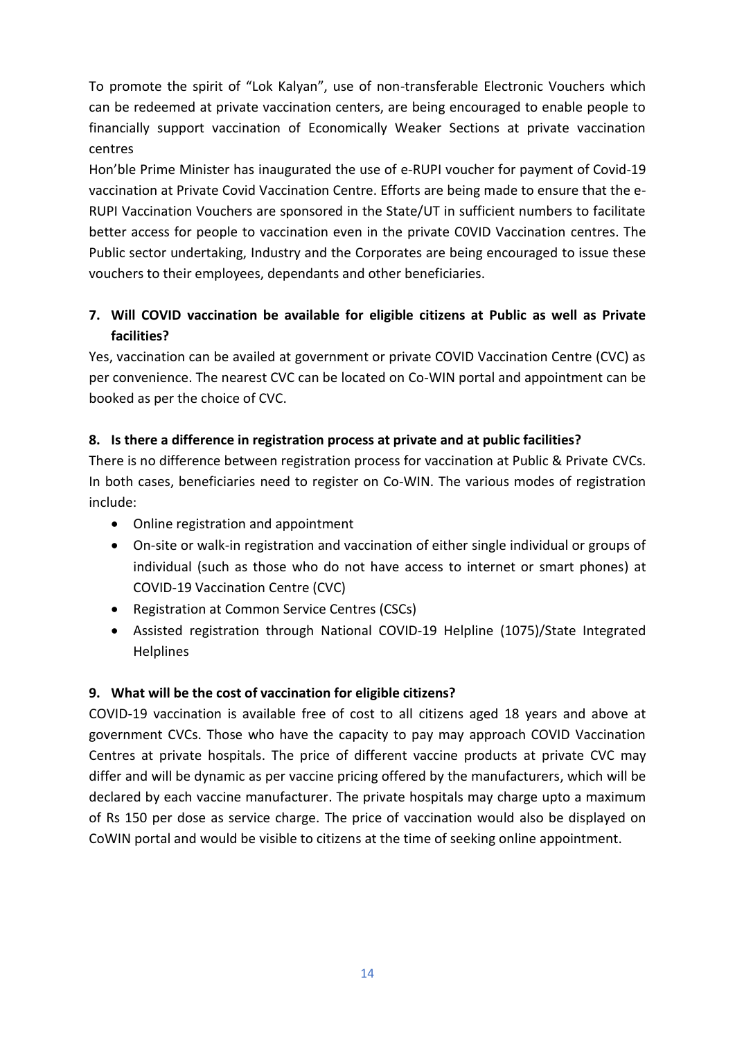To promote the spirit of "Lok Kalyan", use of non-transferable Electronic Vouchers which can be redeemed at private vaccination centers, are being encouraged to enable people to financially support vaccination of Economically Weaker Sections at private vaccination centres

Hon'ble Prime Minister has inaugurated the use of e-RUPI voucher for payment of Covid-19 vaccination at Private Covid Vaccination Centre. Efforts are being made to ensure that the e-RUPI Vaccination Vouchers are sponsored in the State/UT in sufficient numbers to facilitate better access for people to vaccination even in the private C0VID Vaccination centres. The Public sector undertaking, Industry and the Corporates are being encouraged to issue these vouchers to their employees, dependants and other beneficiaries.

### **7. Will COVID vaccination be available for eligible citizens at Public as well as Private facilities?**

Yes, vaccination can be availed at government or private COVID Vaccination Centre (CVC) as per convenience. The nearest CVC can be located on Co-WIN portal and appointment can be booked as per the choice of CVC.

### **8. Is there a difference in registration process at private and at public facilities?**

There is no difference between registration process for vaccination at Public & Private CVCs. In both cases, beneficiaries need to register on Co-WIN. The various modes of registration include:

- Online registration and appointment
- On-site or walk-in registration and vaccination of either single individual or groups of individual (such as those who do not have access to internet or smart phones) at COVID-19 Vaccination Centre (CVC)
- Registration at Common Service Centres (CSCs)
- Assisted registration through National COVID-19 Helpline (1075)/State Integrated Helplines

### **9. What will be the cost of vaccination for eligible citizens?**

COVID-19 vaccination is available free of cost to all citizens aged 18 years and above at government CVCs. Those who have the capacity to pay may approach COVID Vaccination Centres at private hospitals. The price of different vaccine products at private CVC may differ and will be dynamic as per vaccine pricing offered by the manufacturers, which will be declared by each vaccine manufacturer. The private hospitals may charge upto a maximum of Rs 150 per dose as service charge. The price of vaccination would also be displayed on CoWIN portal and would be visible to citizens at the time of seeking online appointment.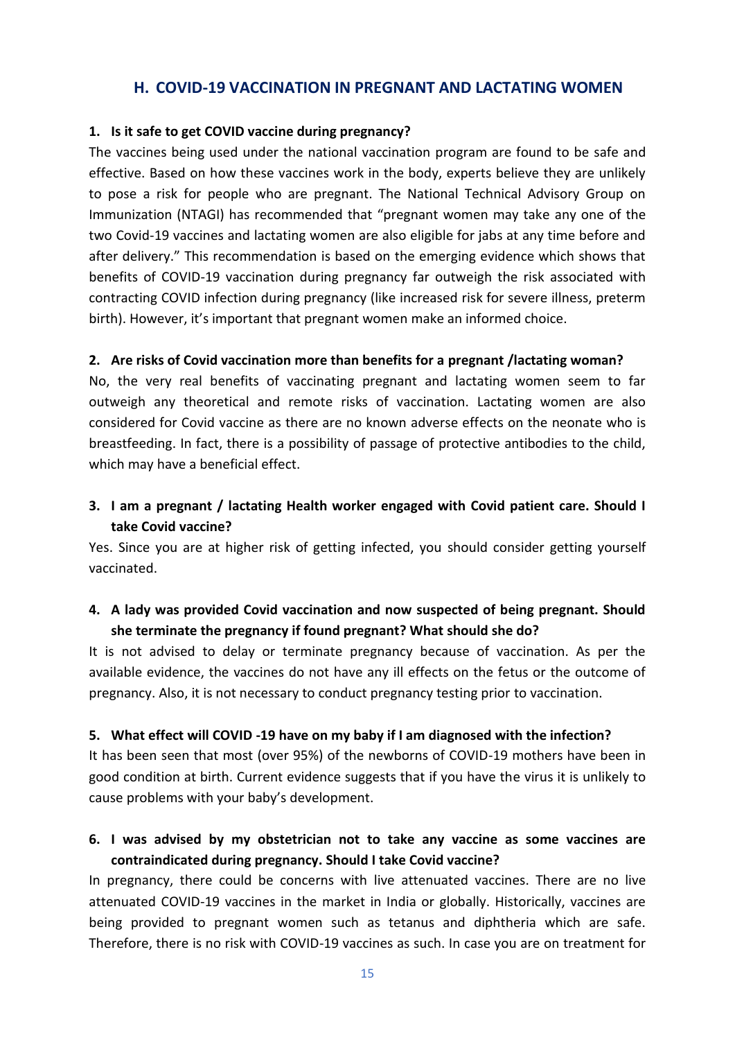#### **H. COVID-19 VACCINATION IN PREGNANT AND LACTATING WOMEN**

#### **1. Is it safe to get COVID vaccine during pregnancy?**

The vaccines being used under the national vaccination program are found to be safe and effective. Based on how these vaccines work in the body, experts believe they are unlikely to pose a risk for people who are pregnant. The National Technical Advisory Group on Immunization (NTAGI) has recommended that "pregnant women may take any one of the two Covid-19 vaccines and lactating women are also eligible for jabs at any time before and after delivery." This recommendation is based on the emerging evidence which shows that benefits of COVID-19 vaccination during pregnancy far outweigh the risk associated with contracting COVID infection during pregnancy (like increased risk for severe illness, preterm birth). However, it's important that pregnant women make an informed choice.

#### **2. Are risks of Covid vaccination more than benefits for a pregnant /lactating woman?**

No, the very real benefits of vaccinating pregnant and lactating women seem to far outweigh any theoretical and remote risks of vaccination. Lactating women are also considered for Covid vaccine as there are no known adverse effects on the neonate who is breastfeeding. In fact, there is a possibility of passage of protective antibodies to the child, which may have a beneficial effect.

### **3. I am a pregnant / lactating Health worker engaged with Covid patient care. Should I take Covid vaccine?**

Yes. Since you are at higher risk of getting infected, you should consider getting yourself vaccinated.

### **4. A lady was provided Covid vaccination and now suspected of being pregnant. Should she terminate the pregnancy if found pregnant? What should she do?**

It is not advised to delay or terminate pregnancy because of vaccination. As per the available evidence, the vaccines do not have any ill effects on the fetus or the outcome of pregnancy. Also, it is not necessary to conduct pregnancy testing prior to vaccination.

#### **5. What effect will COVID -19 have on my baby if I am diagnosed with the infection?**

It has been seen that most (over 95%) of the newborns of COVID-19 mothers have been in good condition at birth. Current evidence suggests that if you have the virus it is unlikely to cause problems with your baby's development.

### **6. I was advised by my obstetrician not to take any vaccine as some vaccines are contraindicated during pregnancy. Should I take Covid vaccine?**

In pregnancy, there could be concerns with live attenuated vaccines. There are no live attenuated COVID-19 vaccines in the market in India or globally. Historically, vaccines are being provided to pregnant women such as tetanus and diphtheria which are safe. Therefore, there is no risk with COVID-19 vaccines as such. In case you are on treatment for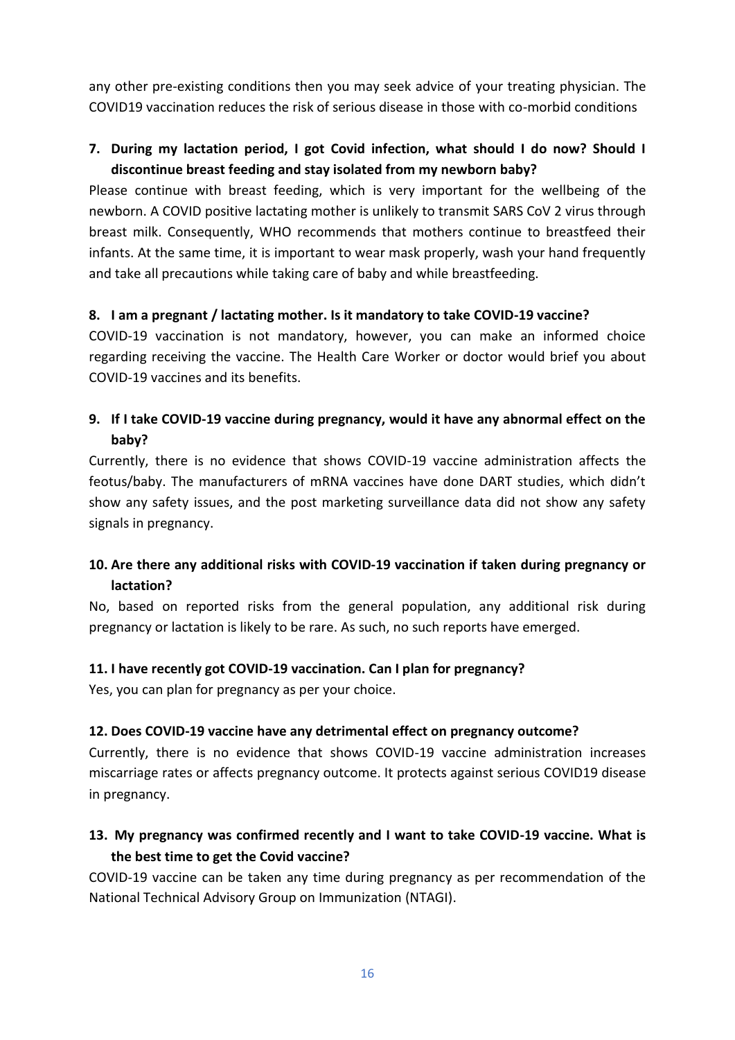any other pre-existing conditions then you may seek advice of your treating physician. The COVID19 vaccination reduces the risk of serious disease in those with co-morbid conditions

### **7. During my lactation period, I got Covid infection, what should I do now? Should I discontinue breast feeding and stay isolated from my newborn baby?**

Please continue with breast feeding, which is very important for the wellbeing of the newborn. A COVID positive lactating mother is unlikely to transmit SARS CoV 2 virus through breast milk. Consequently, WHO recommends that mothers continue to breastfeed their infants. At the same time, it is important to wear mask properly, wash your hand frequently and take all precautions while taking care of baby and while breastfeeding.

#### **8. I am a pregnant / lactating mother. Is it mandatory to take COVID-19 vaccine?**

COVID-19 vaccination is not mandatory, however, you can make an informed choice regarding receiving the vaccine. The Health Care Worker or doctor would brief you about COVID-19 vaccines and its benefits.

### **9. If I take COVID-19 vaccine during pregnancy, would it have any abnormal effect on the baby?**

Currently, there is no evidence that shows COVID-19 vaccine administration affects the feotus/baby. The manufacturers of mRNA vaccines have done DART studies, which didn't show any safety issues, and the post marketing surveillance data did not show any safety signals in pregnancy.

### **10. Are there any additional risks with COVID-19 vaccination if taken during pregnancy or lactation?**

No, based on reported risks from the general population, any additional risk during pregnancy or lactation is likely to be rare. As such, no such reports have emerged.

### **11. I have recently got COVID-19 vaccination. Can I plan for pregnancy?**

Yes, you can plan for pregnancy as per your choice.

#### **12. Does COVID-19 vaccine have any detrimental effect on pregnancy outcome?**

Currently, there is no evidence that shows COVID-19 vaccine administration increases miscarriage rates or affects pregnancy outcome. It protects against serious COVID19 disease in pregnancy.

### **13. My pregnancy was confirmed recently and I want to take COVID-19 vaccine. What is the best time to get the Covid vaccine?**

COVID-19 vaccine can be taken any time during pregnancy as per recommendation of the National Technical Advisory Group on Immunization (NTAGI).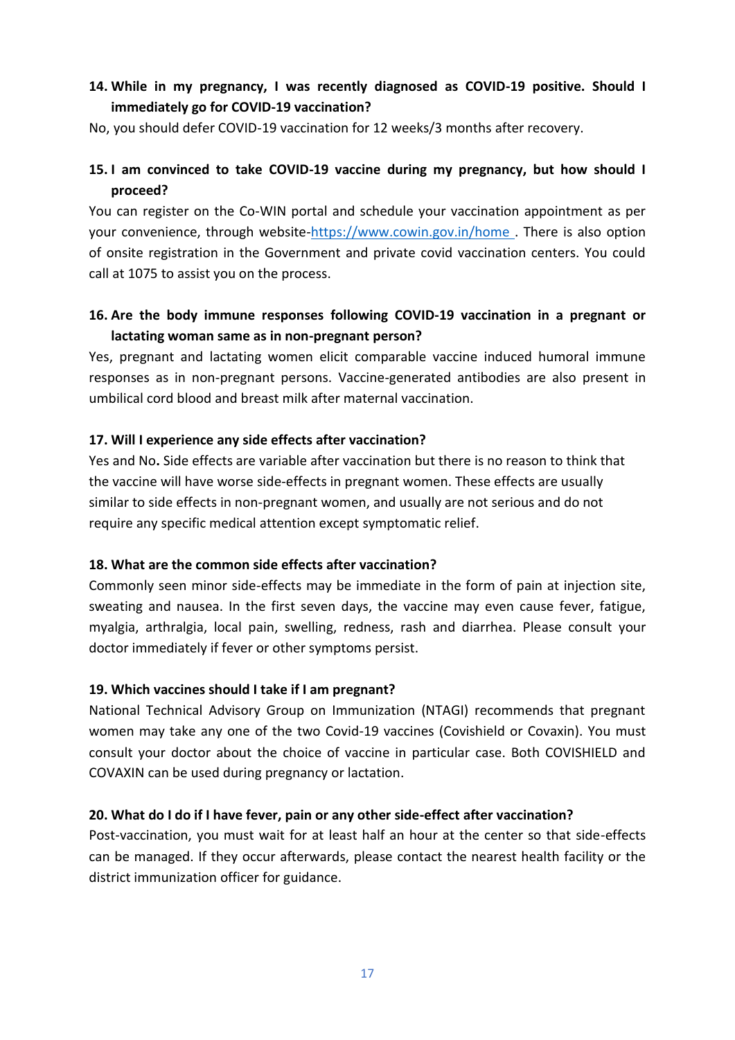### **14. While in my pregnancy, I was recently diagnosed as COVID-19 positive. Should I immediately go for COVID-19 vaccination?**

No, you should defer COVID-19 vaccination for 12 weeks/3 months after recovery.

### **15. I am convinced to take COVID-19 vaccine during my pregnancy, but how should I proceed?**

You can register on the Co-WIN portal and schedule your vaccination appointment as per your convenience, through website[-https://www.cowin.gov.in/home .](https://www.cowin.gov.in/home) There is also option of onsite registration in the Government and private covid vaccination centers. You could call at 1075 to assist you on the process.

### **16. Are the body immune responses following COVID-19 vaccination in a pregnant or lactating woman same as in non-pregnant person?**

Yes, pregnant and lactating women elicit comparable vaccine induced humoral immune responses as in non-pregnant persons. Vaccine-generated antibodies are also present in umbilical cord blood and breast milk after maternal vaccination.

#### **17. Will I experience any side effects after vaccination?**

Yes and No**.** Side effects are variable after vaccination but there is no reason to think that the vaccine will have worse side-effects in pregnant women. These effects are usually similar to side effects in non-pregnant women, and usually are not serious and do not require any specific medical attention except symptomatic relief.

#### **18. What are the common side effects after vaccination?**

Commonly seen minor side-effects may be immediate in the form of pain at injection site, sweating and nausea. In the first seven days, the vaccine may even cause fever, fatigue, myalgia, arthralgia, local pain, swelling, redness, rash and diarrhea. Please consult your doctor immediately if fever or other symptoms persist.

#### **19. Which vaccines should I take if I am pregnant?**

National Technical Advisory Group on Immunization (NTAGI) recommends that pregnant women may take any one of the two Covid-19 vaccines (Covishield or Covaxin). You must consult your doctor about the choice of vaccine in particular case. Both COVISHIELD and COVAXIN can be used during pregnancy or lactation.

#### **20. What do I do if I have fever, pain or any other side-effect after vaccination?**

Post-vaccination, you must wait for at least half an hour at the center so that side-effects can be managed. If they occur afterwards, please contact the nearest health facility or the district immunization officer for guidance.